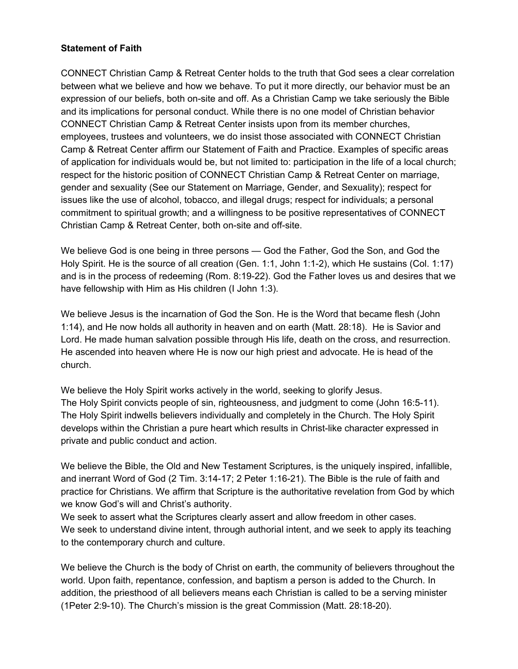## **Statement of Faith**

CONNECT Christian Camp & Retreat Center holds to the truth that God sees a clear correlation between what we believe and how we behave. To put it more directly, our behavior must be an expression of our beliefs, both on-site and off. As a Christian Camp we take seriously the Bible and its implications for personal conduct. While there is no one model of Christian behavior CONNECT Christian Camp & Retreat Center insists upon from its member churches, employees, trustees and volunteers, we do insist those associated with CONNECT Christian Camp & Retreat Center affirm our Statement of Faith and Practice. Examples of specific areas of application for individuals would be, but not limited to: participation in the life of a local church; respect for the historic position of CONNECT Christian Camp & Retreat Center on marriage, gender and sexuality (See our Statement on Marriage, Gender, and Sexuality); respect for issues like the use of alcohol, tobacco, and illegal drugs; respect for individuals; a personal commitment to spiritual growth; and a willingness to be positive representatives of CONNECT Christian Camp & Retreat Center, both on-site and off-site.

We believe God is one being in three persons — God the Father, God the Son, and God the Holy Spirit. He is the source of all creation (Gen. 1:1, John 1:1-2), which He sustains (Col. 1:17) and is in the process of redeeming (Rom. 8:19-22). God the Father loves us and desires that we have fellowship with Him as His children (I John 1:3).

We believe Jesus is the incarnation of God the Son. He is the Word that became flesh (John 1:14), and He now holds all authority in heaven and on earth (Matt. 28:18). He is Savior and Lord. He made human salvation possible through His life, death on the cross, and resurrection. He ascended into heaven where He is now our high priest and advocate. He is head of the church.

We believe the Holy Spirit works actively in the world, seeking to glorify Jesus. The Holy Spirit convicts people of sin, righteousness, and judgment to come (John 16:5-11). The Holy Spirit indwells believers individually and completely in the Church. The Holy Spirit develops within the Christian a pure heart which results in Christ-like character expressed in private and public conduct and action.

We believe the Bible, the Old and New Testament Scriptures, is the uniquely inspired, infallible, and inerrant Word of God (2 Tim. 3:14-17; 2 Peter 1:16-21). The Bible is the rule of faith and practice for Christians. We affirm that Scripture is the authoritative revelation from God by which we know God's will and Christ's authority.

We seek to assert what the Scriptures clearly assert and allow freedom in other cases. We seek to understand divine intent, through authorial intent, and we seek to apply its teaching to the contemporary church and culture.

We believe the Church is the body of Christ on earth, the community of believers throughout the world. Upon faith, repentance, confession, and baptism a person is added to the Church. In addition, the priesthood of all believers means each Christian is called to be a serving minister (1Peter 2:9-10). The Church's mission is the great Commission (Matt. 28:18-20).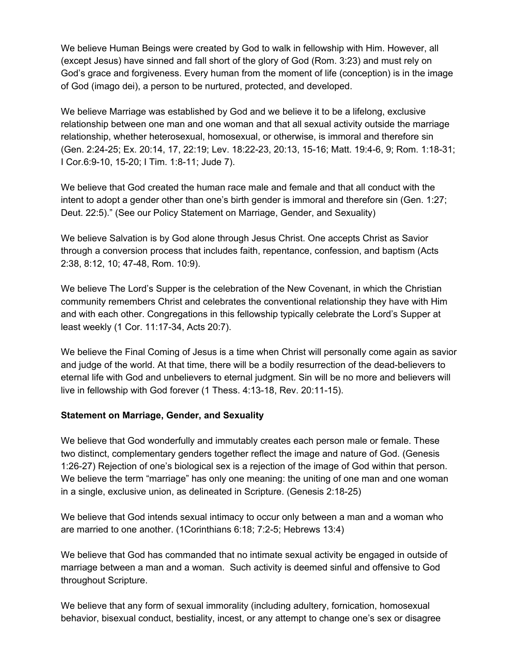We believe Human Beings were created by God to walk in fellowship with Him. However, all (except Jesus) have sinned and fall short of the glory of God (Rom. 3:23) and must rely on God's grace and forgiveness. Every human from the moment of life (conception) is in the image of God (imago dei), a person to be nurtured, protected, and developed.

We believe Marriage was established by God and we believe it to be a lifelong, exclusive relationship between one man and one woman and that all sexual activity outside the marriage relationship, whether heterosexual, homosexual, or otherwise, is immoral and therefore sin (Gen. 2:24-25; Ex. 20:14, 17, 22:19; Lev. 18:22-23, 20:13, 15-16; Matt. 19:4-6, 9; Rom. 1:18-31; I Cor.6:9-10, 15-20; I Tim. 1:8-11; Jude 7).

We believe that God created the human race male and female and that all conduct with the intent to adopt a gender other than one's birth gender is immoral and therefore sin (Gen. 1:27; Deut. 22:5)." (See our Policy Statement on Marriage, Gender, and Sexuality)

We believe Salvation is by God alone through Jesus Christ. One accepts Christ as Savior through a conversion process that includes faith, repentance, confession, and baptism (Acts 2:38, 8:12, 10; 47-48, Rom. 10:9).

We believe The Lord's Supper is the celebration of the New Covenant, in which the Christian community remembers Christ and celebrates the conventional relationship they have with Him and with each other. Congregations in this fellowship typically celebrate the Lord's Supper at least weekly (1 Cor. 11:17-34, Acts 20:7).

We believe the Final Coming of Jesus is a time when Christ will personally come again as savior and judge of the world. At that time, there will be a bodily resurrection of the dead-believers to eternal life with God and unbelievers to eternal judgment. Sin will be no more and believers will live in fellowship with God forever (1 Thess. 4:13-18, Rev. 20:11-15).

## **Statement on Marriage, Gender, and Sexuality**

We believe that God wonderfully and immutably creates each person male or female. These two distinct, complementary genders together reflect the image and nature of God. (Genesis 1:26-27) Rejection of one's biological sex is a rejection of the image of God within that person. We believe the term "marriage" has only one meaning: the uniting of one man and one woman in a single, exclusive union, as delineated in Scripture. (Genesis 2:18-25)

We believe that God intends sexual intimacy to occur only between a man and a woman who are married to one another. (1Corinthians 6:18; 7:2-5; Hebrews 13:4)

We believe that God has commanded that no intimate sexual activity be engaged in outside of marriage between a man and a woman. Such activity is deemed sinful and offensive to God throughout Scripture.

We believe that any form of sexual immorality (including adultery, fornication, homosexual behavior, bisexual conduct, bestiality, incest, or any attempt to change one's sex or disagree